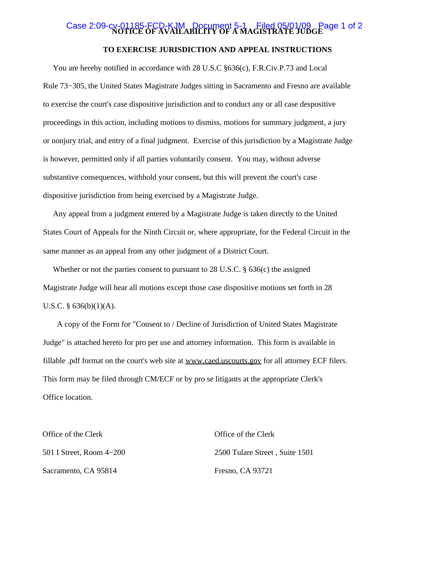# Case 2:09-cv-01185-FCD-KJM Document 5-1 Filed 05/01/09 Page 1 of 2 **TO EXERCISE JURISDICTION AND APPEAL INSTRUCTIONS**

 You are hereby notified in accordance with 28 U.S.C §636(c), F.R.Civ.P.73 and Local Rule 73−305, the United States Magistrate Judges sitting in Sacramento and Fresno are available to exercise the court's case dispositive jurisdiction and to conduct any or all case despositive proceedings in this action, including motions to dismiss, motions for summary judgment, a jury or nonjury trial, and entry of a final judgment. Exercise of this jurisdiction by a Magistrate Judge is however, permitted only if all parties voluntarily consent. You may, without adverse substantive consequences, withhold your consent, but this will prevent the court's case dispositive jurisdiction from being exercised by a Magistrate Judge.

 Any appeal from a judgment entered by a Magistrate Judge is taken directly to the United States Court of Appeals for the Ninth Circuit or, where appropriate, for the Federal Circuit in the same manner as an appeal from any other judgment of a District Court.

 Whether or not the parties consent to pursuant to 28 U.S.C. § 636(c) the assigned Magistrate Judge will hear all motions except those case dispositive motions set forth in 28 U.S.C.  $\S$  636(b)(1)(A).

 A copy of the Form for "Consent to / Decline of Jurisdiction of United States Magistrate Judge" is attached hereto for pro per use and attorney information. This form is available in fillable .pdf format on the court's web site at www.caed.uscourts.gov for all attorney ECF filers. This form may be filed through CM/ECF or by pro se litigants at the appropriate Clerk's Office location.

| Office of the Clerk      | Office of the Clerk            |
|--------------------------|--------------------------------|
| 501 I Street, Room 4–200 | 2500 Tulare Street, Suite 1501 |
| Sacramento, CA 95814     | Fresno, CA 93721               |